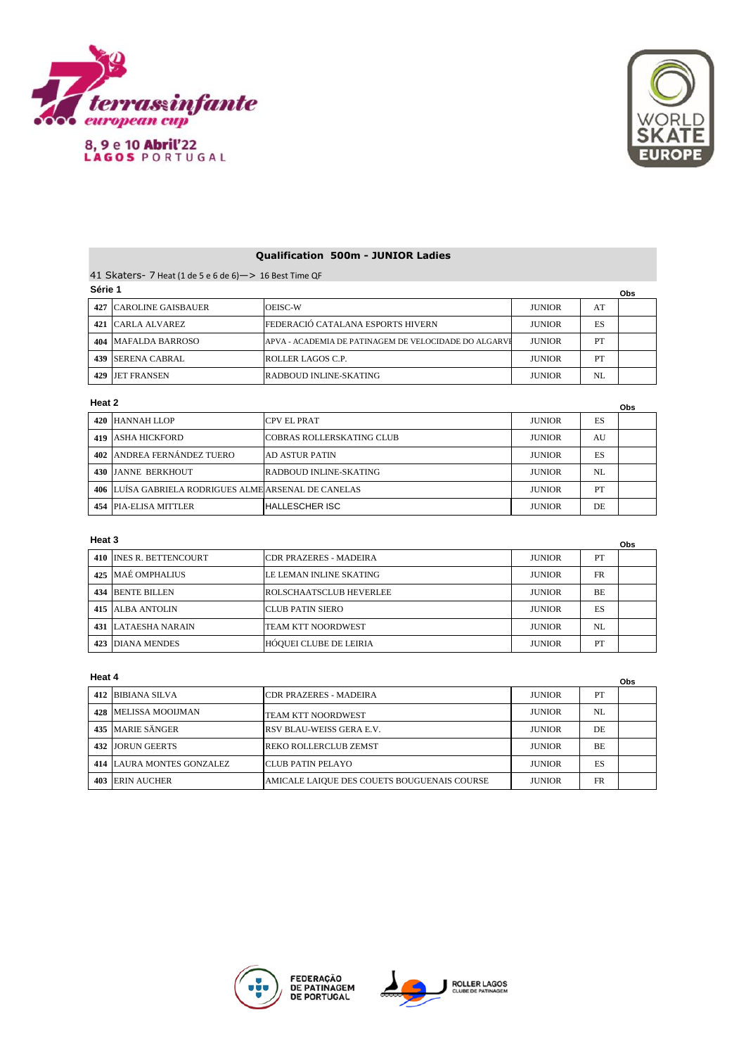

8, 9 e 10 Abril'22<br>LAGOS PORTUGAL



# **Qualification 500m - JUNIOR Ladies**

41 Skaters- 7 Heat (1 de 5 e 6 de 6)—> 16 Best Time QF **Série 1**

| <b>UGIIG I</b>                |                                                       |               |     | Obs |
|-------------------------------|-------------------------------------------------------|---------------|-----|-----|
| <b>427 CAROLINE GAISBAUER</b> | <b>OEISC-W</b>                                        | <b>JUNIOR</b> | AT  |     |
| 421 CARLA ALVAREZ             | FEDERACIÓ CATALANA ESPORTS HIVERN                     | <b>JUNIOR</b> | ES  |     |
| 404   MAFALDA BARROSO         | APVA - ACADEMIA DE PATINAGEM DE VELOCIDADE DO ALGARVI | <b>JUNIOR</b> | PT  |     |
| 439 ISERENA CABRAL            | <b>ROLLER LAGOS C.P.</b>                              | <b>JUNIOR</b> | PT  |     |
| 429 JET FRANSEN               | RADBOUD INLINE-SKATING                                | <b>JUNIOR</b> | NI. |     |

### **Heat 2**

| Heat 2                                               |                                  |               |    |  |
|------------------------------------------------------|----------------------------------|---------------|----|--|
| 420 HANNAH LLOP                                      | <b>CPV EL PRAT</b>               | <b>JUNIOR</b> | ES |  |
| <b>419 LASHA HICKFORD</b>                            | <b>COBRAS ROLLERSKATING CLUB</b> | <b>JUNIOR</b> | AU |  |
| 402 ANDREA FERNÁNDEZ TUERO                           | AD ASTUR PATIN                   | <b>JUNIOR</b> | ES |  |
| 430 LIANNE BERKHOUT                                  | RADBOUD INLINE-SKATING           | <b>JUNIOR</b> | NL |  |
| 406 LUÍSA GABRIELA RODRIGUES ALME ARSENAL DE CANELAS |                                  | <b>JUNIOR</b> | PT |  |
| 454 PIA-ELISA MITTLER                                | <b>HALLESCHER ISC</b>            | <b>JUNIOR</b> | DE |  |

## **Heat 3**

| Heat 3                     |                           |               |           | <b>Obs</b> |
|----------------------------|---------------------------|---------------|-----------|------------|
| 410 INES R. BETTENCOURT    | ICDR PRAZERES - MADEIRA   | <b>JUNIOR</b> | PT        |            |
| 425 MAÉ OMPHALIUS          | LE LEMAN INLINE SKATING   | <b>JUNIOR</b> | <b>FR</b> |            |
| 434 BENTE BILLEN           | ROLSCHAATSCLUB HEVERLEE   | <b>JUNIOR</b> | BE.       |            |
| 415 LALBA ANTOLIN          | ICLUB PATIN SIERO         | <b>JUNIOR</b> | ES        |            |
| <b>431 LATAESHA NARAIN</b> | <b>TEAM KTT NOORDWEST</b> | <b>JUNIOR</b> | NL        |            |
| <b>423 DIANA MENDES</b>    | HÓQUEI CLUBE DE LEIRIA    | <b>JUNIOR</b> | PT        |            |

### **Heat 4**

|     | Heat 4                           |                                             |               |           |  |
|-----|----------------------------------|---------------------------------------------|---------------|-----------|--|
|     | 412 BIBIANA SILVA                | <b>CDR PRAZERES - MADEIRA</b>               | <b>JUNIOR</b> | PT        |  |
|     | <b>428 IMELISSA MOOIJMAN</b>     | <b>TEAM KTT NOORDWEST</b>                   | <b>JUNIOR</b> | NL        |  |
|     | 435 MARIE SÄNGER                 | IRSV BLAU-WEISS GERA E.V.                   | <b>JUNIOR</b> | DE        |  |
| 432 | <b>JORUN GEERTS</b>              | <b>REKO ROLLERCLUB ZEMST</b>                | <b>JUNIOR</b> | <b>BE</b> |  |
|     | <b>414 LAURA MONTES GONZALEZ</b> | ICLUB PATIN PELAYO                          | <b>JUNIOR</b> | ES        |  |
| 403 | <b>IERIN AUCHER</b>              | AMICALE LAIQUE DES COUETS BOUGUENAIS COURSE | <b>JUNIOR</b> | <b>FR</b> |  |